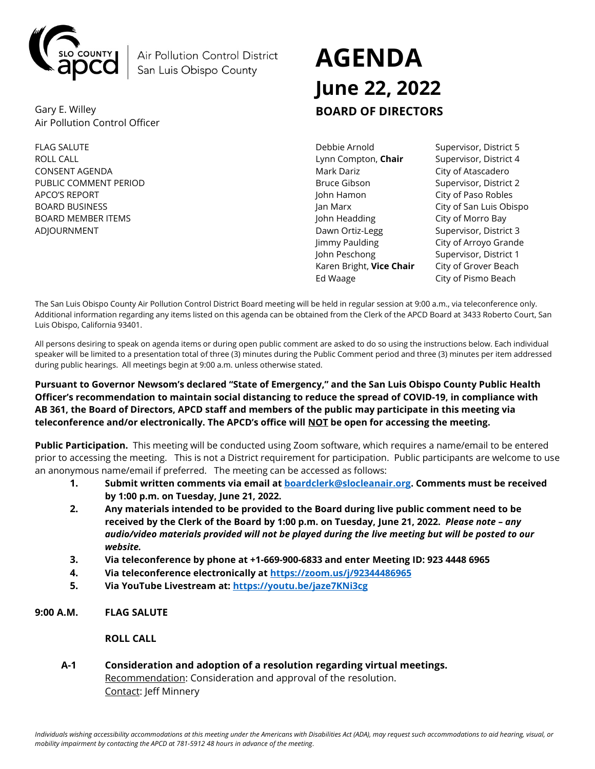

Air Pollution Control District San Luis Obispo County

Gary E. Willey Air Pollution Control Officer

FLAG SALUTE **EXALUTE** THE SALUTE OF SALUTE Arm of the Supervisor, District 5 ROLL CALL Lynn Compton, **Chair** Supervisor, District 4 CONSENT AGENDA GERAL MARK DATE ON MARK Dariz City of Atascadero PUBLIC COMMENT PERIOD **Bruce Gibson** Bruce Gibson Supervisor, District 2 APCO'S REPORT **A CONSECT ASSESSED A** LOCAL CONSECTION OF PASSAGE AND A LOCAL CONSECTATION OF PASSAGE AND A LOCAL CONSECTATION OF PASSAGE AND A LOCAL CONSECTATION OF PASSAGE AND A LOCAL CONSECTATION OF PASSAGE AND A LOCAL C BOARD BUSINESS **STATES IN THE SAN ARRANGEMENT OF SAN ARRANGEMENT CONSTRUCTS** Jan Marx **City of San Luis Obispo** BOARD MEMBER ITEMS **GET A READ CONTROL CONTROLLER SERVICE A** John Headding **City of Morro Bay** ADJOURNMENT **ALL AUGUSTS** Dawn Ortiz-Legg Supervisor, District 3

# **AGENDA June 22, 2022 BOARD OF DIRECTORS**

Jimmy Paulding City of Arroyo Grande John Peschong Supervisor, District 1 Karen Bright, **Vice Chair** City of Grover Beach Ed Waage City of Pismo Beach

The San Luis Obispo County Air Pollution Control District Board meeting will be held in regular session at 9:00 a.m., via teleconference only. Additional information regarding any items listed on this agenda can be obtained from the Clerk of the APCD Board at 3433 Roberto Court, San Luis Obispo, California 93401.

All persons desiring to speak on agenda items or during open public comment are asked to do so using the instructions below. Each individual speaker will be limited to a presentation total of three (3) minutes during the Public Comment period and three (3) minutes per item addressed during public hearings. All meetings begin at 9:00 a.m. unless otherwise stated.

**Pursuant to Governor Newsom's declared "State of Emergency," and the San Luis Obispo County Public Health Officer's recommendation to maintain social distancing to reduce the spread of COVID-19, in compliance with AB 361, the Board of Directors, APCD staff and members of the public may participate in this meeting via teleconference and/or electronically. The APCD's office will NOT be open for accessing the meeting.**

**Public Participation.** This meeting will be conducted using Zoom software, which requires a name/email to be entered prior to accessing the meeting. This is not a District requirement for participation. Public participants are welcome to use an anonymous name/email if preferred. The meeting can be accessed as follows:

- **1. Submit written comments via email a[t boardclerk@slocleanair.org.](mailto:boardclerk@slocleanair.org) Comments must be received by 1:00 p.m. on Tuesday, June 21, 2022.**
- **2. Any materials intended to be provided to the Board during live public comment need to be received by the Clerk of the Board by 1:00 p.m. on Tuesday, June 21, 2022.** *Please note – any audio/video materials provided will not be played during the live meeting but will be posted to our website.*
- **3. Via teleconference by phone at +1-669-900-6833 and enter Meeting ID: 923 4448 6965**
- **4. Via teleconference electronically at<https://zoom.us/j/92344486965>**
- **5. Via YouTube Livestream at:<https://youtu.be/jaze7KNi3cg>**

#### **9:00 A.M. FLAG SALUTE**

**ROLL CALL**

**A-1 Consideration and adoption of a resolution regarding virtual meetings.** Recommendation: Consideration and approval of the resolution. Contact: Jeff Minnery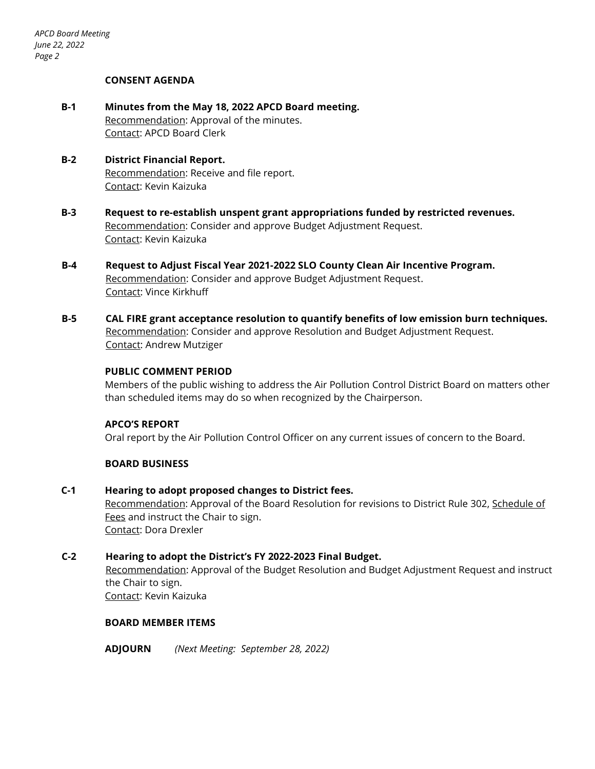#### **CONSENT AGENDA**

- **B-1 Minutes from the May 18, 2022 APCD Board meeting.** Recommendation: Approval of the minutes. Contact: APCD Board Clerk
- **B-2 District Financial Report.** Recommendation: Receive and file report. Contact: Kevin Kaizuka
- **B-3 Request to re-establish unspent grant appropriations funded by restricted revenues.** Recommendation: Consider and approve Budget Adjustment Request. Contact: Kevin Kaizuka
- **B-4 Request to Adjust Fiscal Year 2021-2022 SLO County Clean Air Incentive Program.** Recommendation: Consider and approve Budget Adjustment Request. Contact: Vince Kirkhuff
- **B-5 CAL FIRE grant acceptance resolution to quantify benefits of low emission burn techniques.** Recommendation: Consider and approve Resolution and Budget Adjustment Request. Contact: Andrew Mutziger

#### **PUBLIC COMMENT PERIOD**

Members of the public wishing to address the Air Pollution Control District Board on matters other than scheduled items may do so when recognized by the Chairperson.

#### **APCO'S REPORT**

Oral report by the Air Pollution Control Officer on any current issues of concern to the Board.

#### **BOARD BUSINESS**

#### **C-1 Hearing to adopt proposed changes to District fees.**

Recommendation: Approval of the Board Resolution for revisions to District Rule 302, Schedule of Fees and instruct the Chair to sign. Contact: Dora Drexler

#### **C-2 Hearing to adopt the District's FY 2022-2023 Final Budget.**

Recommendation: Approval of the Budget Resolution and Budget Adjustment Request and instruct the Chair to sign. Contact: Kevin Kaizuka

#### **BOARD MEMBER ITEMS**

**ADJOURN** *(Next Meeting: September 28, 2022)*